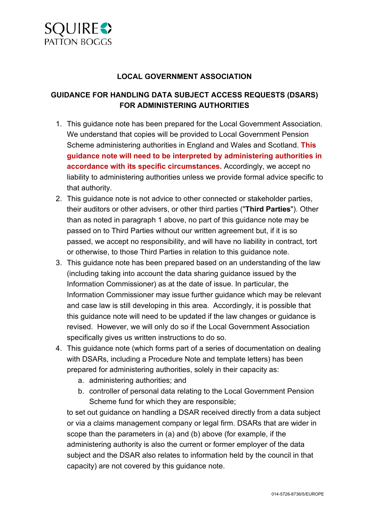

### **LOCAL GOVERNMENT ASSOCIATION**

## **GUIDANCE FOR HANDLING DATA SUBJECT ACCESS REQUESTS (DSARS) FOR ADMINISTERING AUTHORITIES**

- 1. This guidance note has been prepared for the Local Government Association. We understand that copies will be provided to Local Government Pension Scheme administering authorities in England and Wales and Scotland. **This guidance note will need to be interpreted by administering authorities in accordance with its specific circumstances.** Accordingly, we accept no liability to administering authorities unless we provide formal advice specific to that authority.
- 2. This guidance note is not advice to other connected or stakeholder parties, their auditors or other advisers, or other third parties ("**Third Parties**"). Other than as noted in paragraph 1 above, no part of this guidance note may be passed on to Third Parties without our written agreement but, if it is so passed, we accept no responsibility, and will have no liability in contract, tort or otherwise, to those Third Parties in relation to this guidance note.
- 3. This guidance note has been prepared based on an understanding of the law (including taking into account the data sharing guidance issued by the Information Commissioner) as at the date of issue. In particular, the Information Commissioner may issue further guidance which may be relevant and case law is still developing in this area. Accordingly, it is possible that this guidance note will need to be updated if the law changes or guidance is revised. However, we will only do so if the Local Government Association specifically gives us written instructions to do so.
- 4. This guidance note (which forms part of a series of documentation on dealing with DSARs, including a Procedure Note and template letters) has been prepared for administering authorities, solely in their capacity as:
	- a. administering authorities; and
	- b. controller of personal data relating to the Local Government Pension Scheme fund for which they are responsible;

to set out guidance on handling a DSAR received directly from a data subject or via a claims management company or legal firm. DSARs that are wider in scope than the parameters in (a) and (b) above (for example, if the administering authority is also the current or former employer of the data subject and the DSAR also relates to information held by the council in that capacity) are not covered by this guidance note.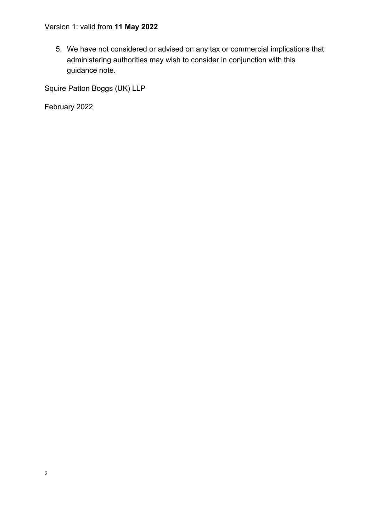5. We have not considered or advised on any tax or commercial implications that administering authorities may wish to consider in conjunction with this guidance note.

Squire Patton Boggs (UK) LLP

February 2022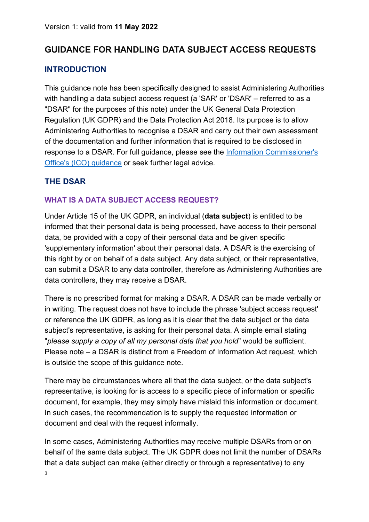# **GUIDANCE FOR HANDLING DATA SUBJECT ACCESS REQUESTS**

## **INTRODUCTION**

This guidance note has been specifically designed to assist Administering Authorities with handling a data subject access request (a 'SAR' or 'DSAR' – referred to as a "DSAR" for the purposes of this note) under the UK General Data Protection Regulation (UK GDPR) and the Data Protection Act 2018. Its purpose is to allow Administering Authorities to recognise a DSAR and carry out their own assessment of the documentation and further information that is required to be disclosed in response to a DSAR. For full guidance, please see the Information Commissioner's [Office's \(ICO\) guidance](https://ico.org.uk/for-organisations/guide-to-data-protection/guide-to-the-general-data-protection-regulation-gdpr/right-of-access/) or seek further legal advice.

## **THE DSAR**

### **WHAT IS A DATA SUBJECT ACCESS REQUEST?**

Under Article 15 of the UK GDPR, an individual (**data subject**) is entitled to be informed that their personal data is being processed, have access to their personal data, be provided with a copy of their personal data and be given specific 'supplementary information' about their personal data. A DSAR is the exercising of this right by or on behalf of a data subject. Any data subject, or their representative, can submit a DSAR to any data controller, therefore as Administering Authorities are data controllers, they may receive a DSAR.

There is no prescribed format for making a DSAR. A DSAR can be made verbally or in writing. The request does not have to include the phrase 'subject access request' or reference the UK GDPR, as long as it is clear that the data subject or the data subject's representative, is asking for their personal data. A simple email stating "*please supply a copy of all my personal data that you hold*" would be sufficient. Please note – a DSAR is distinct from a Freedom of Information Act request, which is outside the scope of this guidance note.

There may be circumstances where all that the data subject, or the data subject's representative, is looking for is access to a specific piece of information or specific document, for example, they may simply have mislaid this information or document. In such cases, the recommendation is to supply the requested information or document and deal with the request informally.

In some cases, Administering Authorities may receive multiple DSARs from or on behalf of the same data subject. The UK GDPR does not limit the number of DSARs that a data subject can make (either directly or through a representative) to any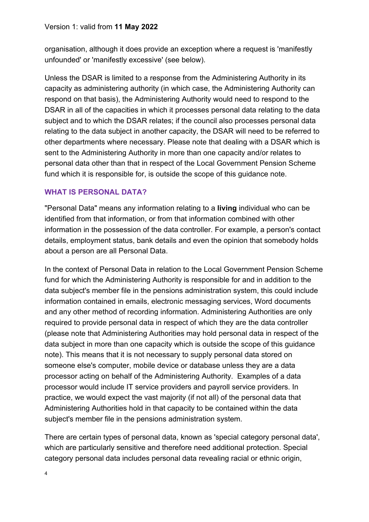organisation, although it does provide an exception where a request is 'manifestly unfounded' or 'manifestly excessive' (see below).

Unless the DSAR is limited to a response from the Administering Authority in its capacity as administering authority (in which case, the Administering Authority can respond on that basis), the Administering Authority would need to respond to the DSAR in all of the capacities in which it processes personal data relating to the data subject and to which the DSAR relates; if the council also processes personal data relating to the data subject in another capacity, the DSAR will need to be referred to other departments where necessary. Please note that dealing with a DSAR which is sent to the Administering Authority in more than one capacity and/or relates to personal data other than that in respect of the Local Government Pension Scheme fund which it is responsible for, is outside the scope of this guidance note.

## **WHAT IS PERSONAL DATA?**

"Personal Data" means any information relating to a **living** individual who can be identified from that information, or from that information combined with other information in the possession of the data controller. For example, a person's contact details, employment status, bank details and even the opinion that somebody holds about a person are all Personal Data.

In the context of Personal Data in relation to the Local Government Pension Scheme fund for which the Administering Authority is responsible for and in addition to the data subject's member file in the pensions administration system, this could include information contained in emails, electronic messaging services, Word documents and any other method of recording information. Administering Authorities are only required to provide personal data in respect of which they are the data controller (please note that Administering Authorities may hold personal data in respect of the data subject in more than one capacity which is outside the scope of this guidance note). This means that it is not necessary to supply personal data stored on someone else's computer, mobile device or database unless they are a data processor acting on behalf of the Administering Authority. Examples of a data processor would include IT service providers and payroll service providers. In practice, we would expect the vast majority (if not all) of the personal data that Administering Authorities hold in that capacity to be contained within the data subject's member file in the pensions administration system.

There are certain types of personal data, known as 'special category personal data', which are particularly sensitive and therefore need additional protection. Special category personal data includes personal data revealing racial or ethnic origin,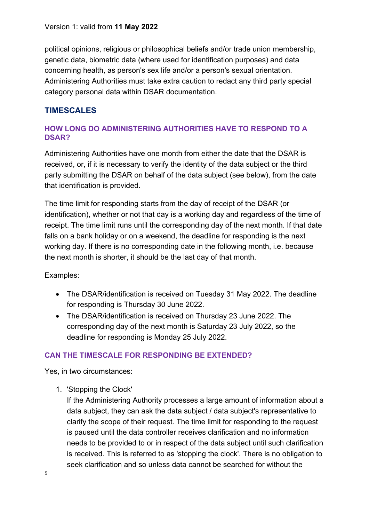political opinions, religious or philosophical beliefs and/or trade union membership, genetic data, biometric data (where used for identification purposes) and data concerning health, as person's sex life and/or a person's sexual orientation. Administering Authorities must take extra caution to redact any third party special category personal data within DSAR documentation.

## **TIMESCALES**

## **HOW LONG DO ADMINISTERING AUTHORITIES HAVE TO RESPOND TO A DSAR?**

Administering Authorities have one month from either the date that the DSAR is received, or, if it is necessary to verify the identity of the data subject or the third party submitting the DSAR on behalf of the data subject (see below), from the date that identification is provided.

The time limit for responding starts from the day of receipt of the DSAR (or identification), whether or not that day is a working day and regardless of the time of receipt. The time limit runs until the corresponding day of the next month. If that date falls on a bank holiday or on a weekend, the deadline for responding is the next working day. If there is no corresponding date in the following month, i.e. because the next month is shorter, it should be the last day of that month.

### Examples:

- The DSAR/identification is received on Tuesday 31 May 2022. The deadline for responding is Thursday 30 June 2022.
- The DSAR/identification is received on Thursday 23 June 2022. The corresponding day of the next month is Saturday 23 July 2022, so the deadline for responding is Monday 25 July 2022.

## **CAN THE TIMESCALE FOR RESPONDING BE EXTENDED?**

Yes, in two circumstances:

1. 'Stopping the Clock'

If the Administering Authority processes a large amount of information about a data subject, they can ask the data subject / data subject's representative to clarify the scope of their request. The time limit for responding to the request is paused until the data controller receives clarification and no information needs to be provided to or in respect of the data subject until such clarification is received. This is referred to as 'stopping the clock'. There is no obligation to seek clarification and so unless data cannot be searched for without the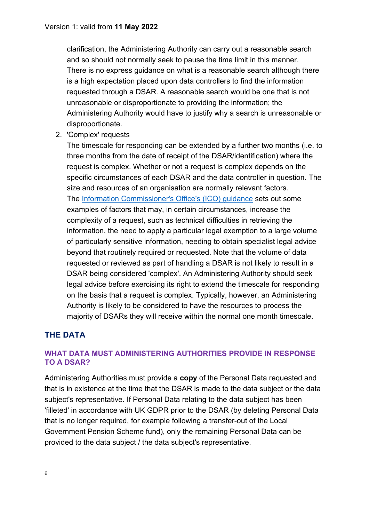clarification, the Administering Authority can carry out a reasonable search and so should not normally seek to pause the time limit in this manner. There is no express guidance on what is a reasonable search although there is a high expectation placed upon data controllers to find the information requested through a DSAR. A reasonable search would be one that is not unreasonable or disproportionate to providing the information; the Administering Authority would have to justify why a search is unreasonable or disproportionate.

2. 'Complex' requests

The timescale for responding can be extended by a further two months (i.e. to three months from the date of receipt of the DSAR/identification) where the request is complex. Whether or not a request is complex depends on the specific circumstances of each DSAR and the data controller in question. The size and resources of an organisation are normally relevant factors. The [Information Commissioner's Office's \(ICO\) guidance](https://ico.org.uk/for-organisations/guide-to-data-protection/guide-to-the-general-data-protection-regulation-gdpr/right-of-access/) sets out some examples of factors that may, in certain circumstances, increase the complexity of a request, such as technical difficulties in retrieving the information, the need to apply a particular legal exemption to a large volume of particularly sensitive information, needing to obtain specialist legal advice beyond that routinely required or requested. Note that the volume of data requested or reviewed as part of handling a DSAR is not likely to result in a DSAR being considered 'complex'. An Administering Authority should seek legal advice before exercising its right to extend the timescale for responding on the basis that a request is complex. Typically, however, an Administering Authority is likely to be considered to have the resources to process the majority of DSARs they will receive within the normal one month timescale.

## **THE DATA**

### **WHAT DATA MUST ADMINISTERING AUTHORITIES PROVIDE IN RESPONSE TO A DSAR?**

Administering Authorities must provide a **copy** of the Personal Data requested and that is in existence at the time that the DSAR is made to the data subject or the data subject's representative. If Personal Data relating to the data subject has been 'filleted' in accordance with UK GDPR prior to the DSAR (by deleting Personal Data that is no longer required, for example following a transfer-out of the Local Government Pension Scheme fund), only the remaining Personal Data can be provided to the data subject / the data subject's representative.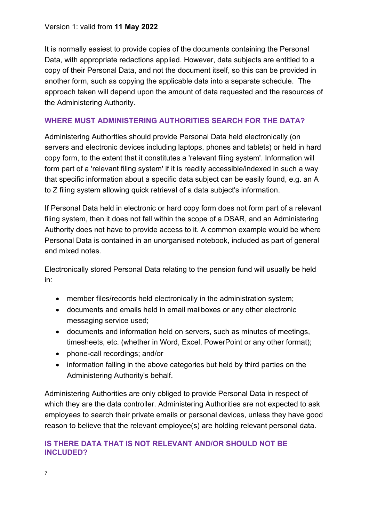It is normally easiest to provide copies of the documents containing the Personal Data, with appropriate redactions applied. However, data subjects are entitled to a copy of their Personal Data, and not the document itself, so this can be provided in another form, such as copying the applicable data into a separate schedule. The approach taken will depend upon the amount of data requested and the resources of the Administering Authority.

### **WHERE MUST ADMINISTERING AUTHORITIES SEARCH FOR THE DATA?**

Administering Authorities should provide Personal Data held electronically (on servers and electronic devices including laptops, phones and tablets) or held in hard copy form, to the extent that it constitutes a 'relevant filing system'. Information will form part of a 'relevant filing system' if it is readily accessible/indexed in such a way that specific information about a specific data subject can be easily found, e.g. an A to Z filing system allowing quick retrieval of a data subject's information.

If Personal Data held in electronic or hard copy form does not form part of a relevant filing system, then it does not fall within the scope of a DSAR, and an Administering Authority does not have to provide access to it. A common example would be where Personal Data is contained in an unorganised notebook, included as part of general and mixed notes.

Electronically stored Personal Data relating to the pension fund will usually be held in:

- member files/records held electronically in the administration system;
- documents and emails held in email mailboxes or any other electronic messaging service used;
- documents and information held on servers, such as minutes of meetings, timesheets, etc. (whether in Word, Excel, PowerPoint or any other format);
- phone-call recordings; and/or
- information falling in the above categories but held by third parties on the Administering Authority's behalf.

Administering Authorities are only obliged to provide Personal Data in respect of which they are the data controller. Administering Authorities are not expected to ask employees to search their private emails or personal devices, unless they have good reason to believe that the relevant employee(s) are holding relevant personal data.

### **IS THERE DATA THAT IS NOT RELEVANT AND/OR SHOULD NOT BE INCLUDED?**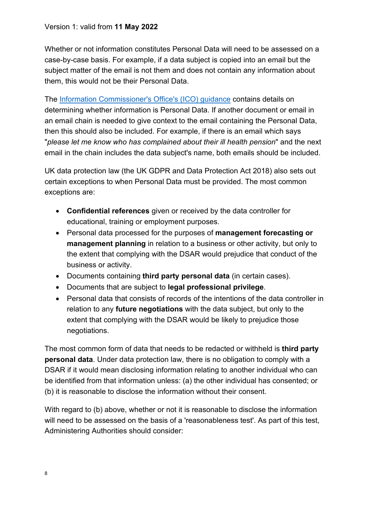Whether or not information constitutes Personal Data will need to be assessed on a case-by-case basis. For example, if a data subject is copied into an email but the subject matter of the email is not them and does not contain any information about them, this would not be their Personal Data.

The [Information Commissioner's Office's \(ICO\) guidance](https://ico.org.uk/for-organisations/guide-to-data-protection/guide-to-the-general-data-protection-regulation-gdpr/what-is-personal-data/) contains details on determining whether information is Personal Data. If another document or email in an email chain is needed to give context to the email containing the Personal Data, then this should also be included. For example, if there is an email which says "*please let me know who has complained about their ill health pension*" and the next email in the chain includes the data subject's name, both emails should be included.

UK data protection law (the UK GDPR and Data Protection Act 2018) also sets out certain exceptions to when Personal Data must be provided. The most common exceptions are:

- **Confidential references** given or received by the data controller for educational, training or employment purposes.
- Personal data processed for the purposes of **management forecasting or management planning** in relation to a business or other activity, but only to the extent that complying with the DSAR would prejudice that conduct of the business or activity.
- Documents containing **third party personal data** (in certain cases).
- Documents that are subject to **legal professional privilege**.
- Personal data that consists of records of the intentions of the data controller in relation to any **future negotiations** with the data subject, but only to the extent that complying with the DSAR would be likely to prejudice those negotiations.

The most common form of data that needs to be redacted or withheld is **third party personal data**. Under data protection law, there is no obligation to comply with a DSAR if it would mean disclosing information relating to another individual who can be identified from that information unless: (a) the other individual has consented; or (b) it is reasonable to disclose the information without their consent.

With regard to (b) above, whether or not it is reasonable to disclose the information will need to be assessed on the basis of a 'reasonableness test'. As part of this test, Administering Authorities should consider: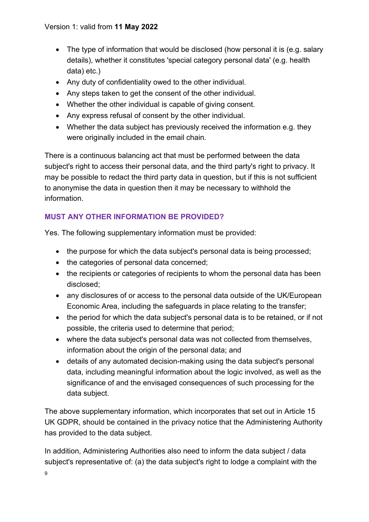- The type of information that would be disclosed (how personal it is (e.g. salary details), whether it constitutes 'special category personal data' (e.g. health data) etc.)
- Any duty of confidentiality owed to the other individual.
- Any steps taken to get the consent of the other individual.
- Whether the other individual is capable of giving consent.
- Any express refusal of consent by the other individual.
- Whether the data subject has previously received the information e.g. they were originally included in the email chain.

There is a continuous balancing act that must be performed between the data subject's right to access their personal data, and the third party's right to privacy. It may be possible to redact the third party data in question, but if this is not sufficient to anonymise the data in question then it may be necessary to withhold the information.

## **MUST ANY OTHER INFORMATION BE PROVIDED?**

Yes. The following supplementary information must be provided:

- the purpose for which the data subject's personal data is being processed;
- the categories of personal data concerned;
- the recipients or categories of recipients to whom the personal data has been disclosed;
- any disclosures of or access to the personal data outside of the UK/European Economic Area, including the safeguards in place relating to the transfer;
- the period for which the data subject's personal data is to be retained, or if not possible, the criteria used to determine that period;
- where the data subject's personal data was not collected from themselves, information about the origin of the personal data; and
- details of any automated decision-making using the data subject's personal data, including meaningful information about the logic involved, as well as the significance of and the envisaged consequences of such processing for the data subject.

The above supplementary information, which incorporates that set out in Article 15 UK GDPR, should be contained in the privacy notice that the Administering Authority has provided to the data subject.

In addition, Administering Authorities also need to inform the data subject / data subject's representative of: (a) the data subject's right to lodge a complaint with the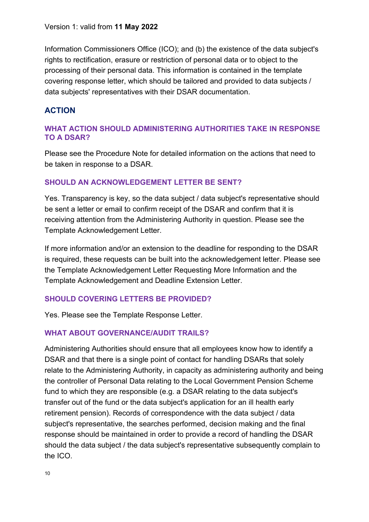Information Commissioners Office (ICO); and (b) the existence of the data subject's rights to rectification, erasure or restriction of personal data or to object to the processing of their personal data. This information is contained in the template covering response letter, which should be tailored and provided to data subjects / data subjects' representatives with their DSAR documentation.

## **ACTION**

### **WHAT ACTION SHOULD ADMINISTERING AUTHORITIES TAKE IN RESPONSE TO A DSAR?**

Please see the Procedure Note for detailed information on the actions that need to be taken in response to a DSAR.

### **SHOULD AN ACKNOWLEDGEMENT LETTER BE SENT?**

Yes. Transparency is key, so the data subject / data subject's representative should be sent a letter or email to confirm receipt of the DSAR and confirm that it is receiving attention from the Administering Authority in question. Please see the Template Acknowledgement Letter.

If more information and/or an extension to the deadline for responding to the DSAR is required, these requests can be built into the acknowledgement letter. Please see the Template Acknowledgement Letter Requesting More Information and the Template Acknowledgement and Deadline Extension Letter.

### **SHOULD COVERING LETTERS BE PROVIDED?**

Yes. Please see the Template Response Letter.

### **WHAT ABOUT GOVERNANCE/AUDIT TRAILS?**

Administering Authorities should ensure that all employees know how to identify a DSAR and that there is a single point of contact for handling DSARs that solely relate to the Administering Authority, in capacity as administering authority and being the controller of Personal Data relating to the Local Government Pension Scheme fund to which they are responsible (e.g. a DSAR relating to the data subject's transfer out of the fund or the data subject's application for an ill health early retirement pension). Records of correspondence with the data subject / data subject's representative, the searches performed, decision making and the final response should be maintained in order to provide a record of handling the DSAR should the data subject / the data subject's representative subsequently complain to the ICO.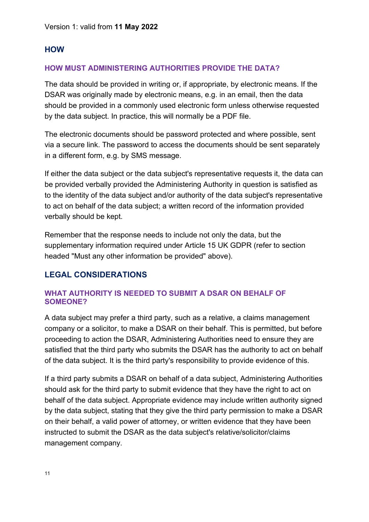## **HOW**

## **HOW MUST ADMINISTERING AUTHORITIES PROVIDE THE DATA?**

The data should be provided in writing or, if appropriate, by electronic means. If the DSAR was originally made by electronic means, e.g. in an email, then the data should be provided in a commonly used electronic form unless otherwise requested by the data subject. In practice, this will normally be a PDF file.

The electronic documents should be password protected and where possible, sent via a secure link. The password to access the documents should be sent separately in a different form, e.g. by SMS message.

If either the data subject or the data subject's representative requests it, the data can be provided verbally provided the Administering Authority in question is satisfied as to the identity of the data subject and/or authority of the data subject's representative to act on behalf of the data subject; a written record of the information provided verbally should be kept.

Remember that the response needs to include not only the data, but the supplementary information required under Article 15 UK GDPR (refer to section headed "Must any other information be provided" above).

# **LEGAL CONSIDERATIONS**

### **WHAT AUTHORITY IS NEEDED TO SUBMIT A DSAR ON BEHALF OF SOMEONE?**

A data subject may prefer a third party, such as a relative, a claims management company or a solicitor, to make a DSAR on their behalf. This is permitted, but before proceeding to action the DSAR, Administering Authorities need to ensure they are satisfied that the third party who submits the DSAR has the authority to act on behalf of the data subject. It is the third party's responsibility to provide evidence of this.

If a third party submits a DSAR on behalf of a data subject, Administering Authorities should ask for the third party to submit evidence that they have the right to act on behalf of the data subject. Appropriate evidence may include written authority signed by the data subject, stating that they give the third party permission to make a DSAR on their behalf, a valid power of attorney, or written evidence that they have been instructed to submit the DSAR as the data subject's relative/solicitor/claims management company.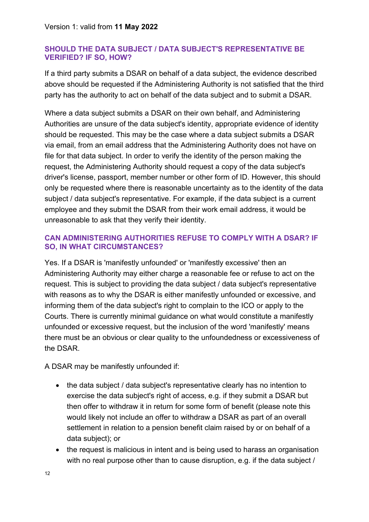#### **SHOULD THE DATA SUBJECT / DATA SUBJECT'S REPRESENTATIVE BE VERIFIED? IF SO, HOW?**

If a third party submits a DSAR on behalf of a data subject, the evidence described above should be requested if the Administering Authority is not satisfied that the third party has the authority to act on behalf of the data subject and to submit a DSAR.

Where a data subject submits a DSAR on their own behalf, and Administering Authorities are unsure of the data subject's identity, appropriate evidence of identity should be requested. This may be the case where a data subject submits a DSAR via email, from an email address that the Administering Authority does not have on file for that data subject. In order to verify the identity of the person making the request, the Administering Authority should request a copy of the data subject's driver's license, passport, member number or other form of ID. However, this should only be requested where there is reasonable uncertainty as to the identity of the data subject / data subject's representative. For example, if the data subject is a current employee and they submit the DSAR from their work email address, it would be unreasonable to ask that they verify their identity.

### **CAN ADMINISTERING AUTHORITIES REFUSE TO COMPLY WITH A DSAR? IF SO, IN WHAT CIRCUMSTANCES?**

Yes. If a DSAR is 'manifestly unfounded' or 'manifestly excessive' then an Administering Authority may either charge a reasonable fee or refuse to act on the request. This is subject to providing the data subject / data subject's representative with reasons as to why the DSAR is either manifestly unfounded or excessive, and informing them of the data subject's right to complain to the ICO or apply to the Courts. There is currently minimal guidance on what would constitute a manifestly unfounded or excessive request, but the inclusion of the word 'manifestly' means there must be an obvious or clear quality to the unfoundedness or excessiveness of the DSAR.

A DSAR may be manifestly unfounded if:

- the data subject / data subject's representative clearly has no intention to exercise the data subject's right of access, e.g. if they submit a DSAR but then offer to withdraw it in return for some form of benefit (please note this would likely not include an offer to withdraw a DSAR as part of an overall settlement in relation to a pension benefit claim raised by or on behalf of a data subject); or
- the request is malicious in intent and is being used to harass an organisation with no real purpose other than to cause disruption, e.g. if the data subject /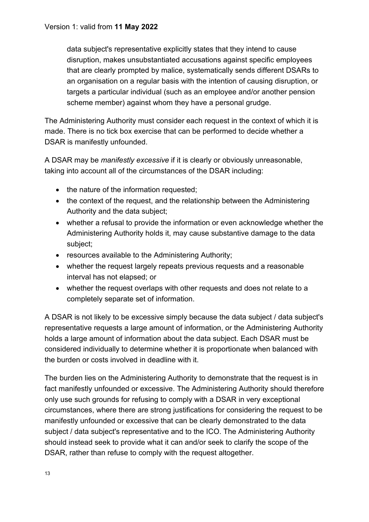data subject's representative explicitly states that they intend to cause disruption, makes unsubstantiated accusations against specific employees that are clearly prompted by malice, systematically sends different DSARs to an organisation on a regular basis with the intention of causing disruption, or targets a particular individual (such as an employee and/or another pension scheme member) against whom they have a personal grudge.

The Administering Authority must consider each request in the context of which it is made. There is no tick box exercise that can be performed to decide whether a DSAR is manifestly unfounded.

A DSAR may be *manifestly excessive* if it is clearly or obviously unreasonable, taking into account all of the circumstances of the DSAR including:

- the nature of the information requested:
- the context of the request, and the relationship between the Administering Authority and the data subject;
- whether a refusal to provide the information or even acknowledge whether the Administering Authority holds it, may cause substantive damage to the data subject;
- resources available to the Administering Authority;
- whether the request largely repeats previous requests and a reasonable interval has not elapsed; or
- whether the request overlaps with other requests and does not relate to a completely separate set of information.

A DSAR is not likely to be excessive simply because the data subject / data subject's representative requests a large amount of information, or the Administering Authority holds a large amount of information about the data subject. Each DSAR must be considered individually to determine whether it is proportionate when balanced with the burden or costs involved in deadline with it.

The burden lies on the Administering Authority to demonstrate that the request is in fact manifestly unfounded or excessive. The Administering Authority should therefore only use such grounds for refusing to comply with a DSAR in very exceptional circumstances, where there are strong justifications for considering the request to be manifestly unfounded or excessive that can be clearly demonstrated to the data subject / data subject's representative and to the ICO. The Administering Authority should instead seek to provide what it can and/or seek to clarify the scope of the DSAR, rather than refuse to comply with the request altogether.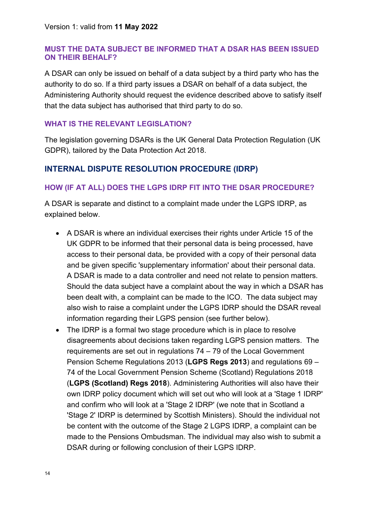### **MUST THE DATA SUBJECT BE INFORMED THAT A DSAR HAS BEEN ISSUED ON THEIR BEHALF?**

A DSAR can only be issued on behalf of a data subject by a third party who has the authority to do so. If a third party issues a DSAR on behalf of a data subject, the Administering Authority should request the evidence described above to satisfy itself that the data subject has authorised that third party to do so.

#### **WHAT IS THE RELEVANT LEGISLATION?**

The legislation governing DSARs is the UK General Data Protection Regulation (UK GDPR), tailored by the Data Protection Act 2018.

## **INTERNAL DISPUTE RESOLUTION PROCEDURE (IDRP)**

#### **HOW (IF AT ALL) DOES THE LGPS IDRP FIT INTO THE DSAR PROCEDURE?**

A DSAR is separate and distinct to a complaint made under the LGPS IDRP, as explained below.

- A DSAR is where an individual exercises their rights under Article 15 of the UK GDPR to be informed that their personal data is being processed, have access to their personal data, be provided with a copy of their personal data and be given specific 'supplementary information' about their personal data. A DSAR is made to a data controller and need not relate to pension matters. Should the data subject have a complaint about the way in which a DSAR has been dealt with, a complaint can be made to the ICO. The data subject may also wish to raise a complaint under the LGPS IDRP should the DSAR reveal information regarding their LGPS pension (see further below).
- The IDRP is a formal two stage procedure which is in place to resolve disagreements about decisions taken regarding LGPS pension matters. The requirements are set out in regulations 74 – 79 of the Local Government Pension Scheme Regulations 2013 (**LGPS Regs 2013**) and regulations 69 – 74 of the Local Government Pension Scheme (Scotland) Regulations 2018 (**LGPS (Scotland) Regs 2018**). Administering Authorities will also have their own IDRP policy document which will set out who will look at a 'Stage 1 IDRP' and confirm who will look at a 'Stage 2 IDRP' (we note that in Scotland a 'Stage 2' IDRP is determined by Scottish Ministers). Should the individual not be content with the outcome of the Stage 2 LGPS IDRP, a complaint can be made to the Pensions Ombudsman. The individual may also wish to submit a DSAR during or following conclusion of their LGPS IDRP.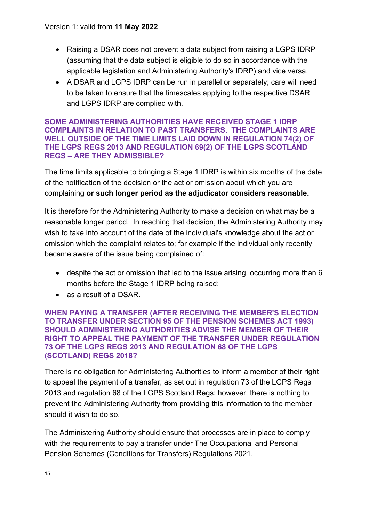- Raising a DSAR does not prevent a data subject from raising a LGPS IDRP (assuming that the data subject is eligible to do so in accordance with the applicable legislation and Administering Authority's IDRP) and vice versa.
- A DSAR and LGPS IDRP can be run in parallel or separately; care will need to be taken to ensure that the timescales applying to the respective DSAR and LGPS IDRP are complied with.

#### **SOME ADMINISTERING AUTHORITIES HAVE RECEIVED STAGE 1 IDRP COMPLAINTS IN RELATION TO PAST TRANSFERS. THE COMPLAINTS ARE WELL OUTSIDE OF THE TIME LIMITS LAID DOWN IN REGULATION 74(2) OF THE LGPS REGS 2013 AND REGULATION 69(2) OF THE LGPS SCOTLAND REGS – ARE THEY ADMISSIBLE?**

The time limits applicable to bringing a Stage 1 IDRP is within six months of the date of the notification of the decision or the act or omission about which you are complaining **or such longer period as the adjudicator considers reasonable.** 

It is therefore for the Administering Authority to make a decision on what may be a reasonable longer period. In reaching that decision, the Administering Authority may wish to take into account of the date of the individual's knowledge about the act or omission which the complaint relates to; for example if the individual only recently became aware of the issue being complained of:

- despite the act or omission that led to the issue arising, occurring more than 6 months before the Stage 1 IDRP being raised;
- as a result of a DSAR.

#### **WHEN PAYING A TRANSFER (AFTER RECEIVING THE MEMBER'S ELECTION TO TRANSFER UNDER SECTION 95 OF THE PENSION SCHEMES ACT 1993) SHOULD ADMINISTERING AUTHORITIES ADVISE THE MEMBER OF THEIR RIGHT TO APPEAL THE PAYMENT OF THE TRANSFER UNDER REGULATION 73 OF THE LGPS REGS 2013 AND REGULATION 68 OF THE LGPS (SCOTLAND) REGS 2018?**

There is no obligation for Administering Authorities to inform a member of their right to appeal the payment of a transfer, as set out in regulation 73 of the LGPS Regs 2013 and regulation 68 of the LGPS Scotland Regs; however, there is nothing to prevent the Administering Authority from providing this information to the member should it wish to do so.

The Administering Authority should ensure that processes are in place to comply with the requirements to pay a transfer under The Occupational and Personal Pension Schemes (Conditions for Transfers) Regulations 2021.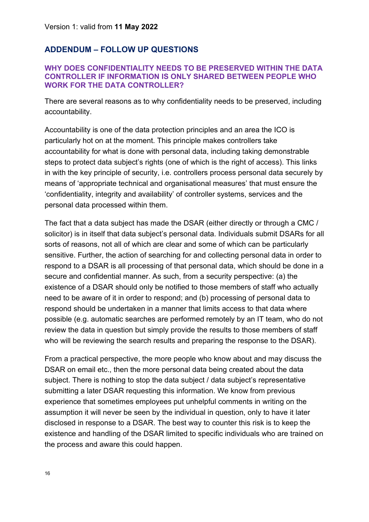## **ADDENDUM – FOLLOW UP QUESTIONS**

#### **WHY DOES CONFIDENTIALITY NEEDS TO BE PRESERVED WITHIN THE DATA CONTROLLER IF INFORMATION IS ONLY SHARED BETWEEN PEOPLE WHO WORK FOR THE DATA CONTROLLER?**

There are several reasons as to why confidentiality needs to be preserved, including accountability.

Accountability is one of the data protection principles and an area the ICO is particularly hot on at the moment. This principle makes controllers take accountability for what is done with personal data, including taking demonstrable steps to protect data subject's rights (one of which is the right of access). This links in with the key principle of security, i.e. controllers process personal data securely by means of 'appropriate technical and organisational measures' that must ensure the 'confidentiality, integrity and availability' of controller systems, services and the personal data processed within them.

The fact that a data subject has made the DSAR (either directly or through a CMC / solicitor) is in itself that data subject's personal data. Individuals submit DSARs for all sorts of reasons, not all of which are clear and some of which can be particularly sensitive. Further, the action of searching for and collecting personal data in order to respond to a DSAR is all processing of that personal data, which should be done in a secure and confidential manner. As such, from a security perspective: (a) the existence of a DSAR should only be notified to those members of staff who actually need to be aware of it in order to respond; and (b) processing of personal data to respond should be undertaken in a manner that limits access to that data where possible (e.g. automatic searches are performed remotely by an IT team, who do not review the data in question but simply provide the results to those members of staff who will be reviewing the search results and preparing the response to the DSAR).

From a practical perspective, the more people who know about and may discuss the DSAR on email etc., then the more personal data being created about the data subject. There is nothing to stop the data subject / data subject's representative submitting a later DSAR requesting this information. We know from previous experience that sometimes employees put unhelpful comments in writing on the assumption it will never be seen by the individual in question, only to have it later disclosed in response to a DSAR. The best way to counter this risk is to keep the existence and handling of the DSAR limited to specific individuals who are trained on the process and aware this could happen.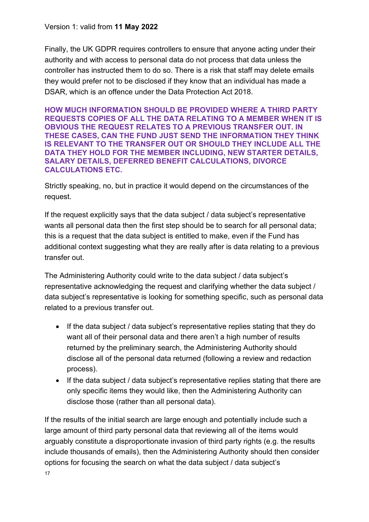Finally, the UK GDPR requires controllers to ensure that anyone acting under their authority and with access to personal data do not process that data unless the controller has instructed them to do so. There is a risk that staff may delete emails they would prefer not to be disclosed if they know that an individual has made a DSAR, which is an offence under the Data Protection Act 2018.

**HOW MUCH INFORMATION SHOULD BE PROVIDED WHERE A THIRD PARTY REQUESTS COPIES OF ALL THE DATA RELATING TO A MEMBER WHEN IT IS OBVIOUS THE REQUEST RELATES TO A PREVIOUS TRANSFER OUT. IN THESE CASES, CAN THE FUND JUST SEND THE INFORMATION THEY THINK IS RELEVANT TO THE TRANSFER OUT OR SHOULD THEY INCLUDE ALL THE DATA THEY HOLD FOR THE MEMBER INCLUDING, NEW STARTER DETAILS, SALARY DETAILS, DEFERRED BENEFIT CALCULATIONS, DIVORCE CALCULATIONS ETC.** 

Strictly speaking, no, but in practice it would depend on the circumstances of the request.

If the request explicitly says that the data subject / data subject's representative wants all personal data then the first step should be to search for all personal data; this is a request that the data subject is entitled to make, even if the Fund has additional context suggesting what they are really after is data relating to a previous transfer out.

The Administering Authority could write to the data subject / data subject's representative acknowledging the request and clarifying whether the data subject / data subject's representative is looking for something specific, such as personal data related to a previous transfer out.

- If the data subject / data subject's representative replies stating that they do want all of their personal data and there aren't a high number of results returned by the preliminary search, the Administering Authority should disclose all of the personal data returned (following a review and redaction process).
- If the data subject / data subject's representative replies stating that there are only specific items they would like, then the Administering Authority can disclose those (rather than all personal data).

If the results of the initial search are large enough and potentially include such a large amount of third party personal data that reviewing all of the items would arguably constitute a disproportionate invasion of third party rights (e.g. the results include thousands of emails), then the Administering Authority should then consider options for focusing the search on what the data subject / data subject's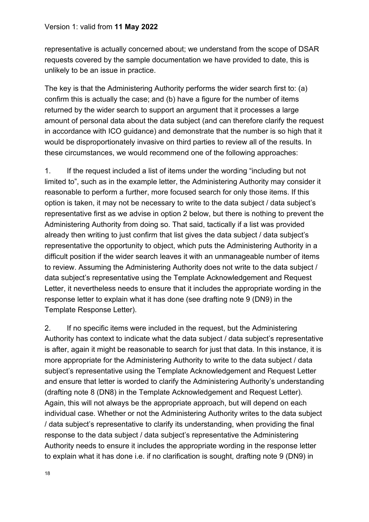representative is actually concerned about; we understand from the scope of DSAR requests covered by the sample documentation we have provided to date, this is unlikely to be an issue in practice.

The key is that the Administering Authority performs the wider search first to: (a) confirm this is actually the case; and (b) have a figure for the number of items returned by the wider search to support an argument that it processes a large amount of personal data about the data subject (and can therefore clarify the request in accordance with ICO guidance) and demonstrate that the number is so high that it would be disproportionately invasive on third parties to review all of the results. In these circumstances, we would recommend one of the following approaches:

1. If the request included a list of items under the wording "including but not limited to", such as in the example letter, the Administering Authority may consider it reasonable to perform a further, more focused search for only those items. If this option is taken, it may not be necessary to write to the data subject / data subject's representative first as we advise in option 2 below, but there is nothing to prevent the Administering Authority from doing so. That said, tactically if a list was provided already then writing to just confirm that list gives the data subject / data subject's representative the opportunity to object, which puts the Administering Authority in a difficult position if the wider search leaves it with an unmanageable number of items to review. Assuming the Administering Authority does not write to the data subject / data subject's representative using the Template Acknowledgement and Request Letter, it nevertheless needs to ensure that it includes the appropriate wording in the response letter to explain what it has done (see drafting note 9 (DN9) in the Template Response Letter).

2. If no specific items were included in the request, but the Administering Authority has context to indicate what the data subject / data subject's representative is after, again it might be reasonable to search for just that data. In this instance, it is more appropriate for the Administering Authority to write to the data subject / data subject's representative using the Template Acknowledgement and Request Letter and ensure that letter is worded to clarify the Administering Authority's understanding (drafting note 8 (DN8) in the Template Acknowledgement and Request Letter). Again, this will not always be the appropriate approach, but will depend on each individual case. Whether or not the Administering Authority writes to the data subject / data subject's representative to clarify its understanding, when providing the final response to the data subject / data subject's representative the Administering Authority needs to ensure it includes the appropriate wording in the response letter to explain what it has done i.e. if no clarification is sought, drafting note 9 (DN9) in